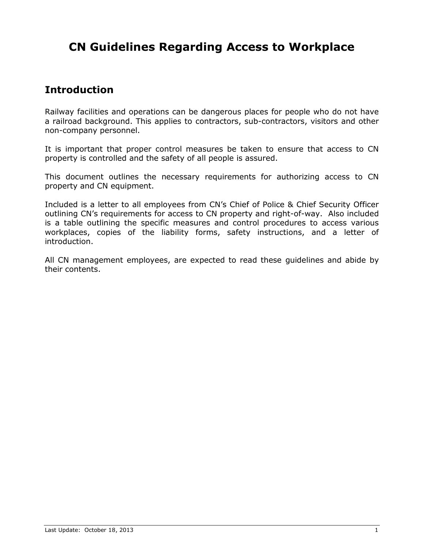# **CN Guidelines Regarding Access to Workplace**

# **Introduction**

Railway facilities and operations can be dangerous places for people who do not have a railroad background. This applies to contractors, sub-contractors, visitors and other non-company personnel.

It is important that proper control measures be taken to ensure that access to CN property is controlled and the safety of all people is assured.

This document outlines the necessary requirements for authorizing access to CN property and CN equipment.

Included is a letter to all employees from CN's Chief of Police & Chief Security Officer outlining CN's requirements for access to CN property and right-of-way. Also included is a table outlining the specific measures and control procedures to access various workplaces, copies of the liability forms, safety instructions, and a letter of introduction.

All CN management employees, are expected to read these guidelines and abide by their contents.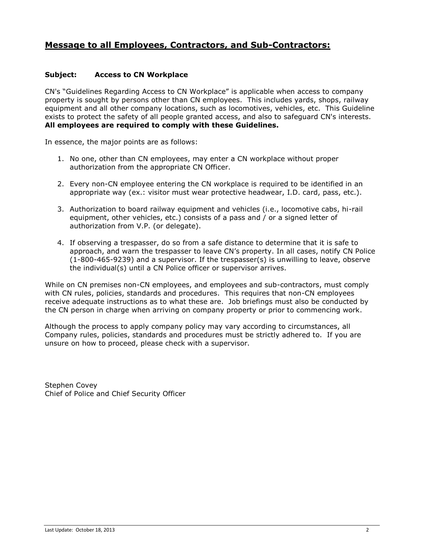## **Message to all Employees, Contractors, and Sub-Contractors:**

### **Subject: Access to CN Workplace**

CN's "Guidelines Regarding Access to CN Workplace" is applicable when access to company property is sought by persons other than CN employees. This includes yards, shops, railway equipment and all other company locations, such as locomotives, vehicles, etc. This Guideline exists to protect the safety of all people granted access, and also to safeguard CN's interests. **All employees are required to comply with these Guidelines.**

In essence, the major points are as follows:

- 1. No one, other than CN employees, may enter a CN workplace without proper authorization from the appropriate CN Officer.
- 2. Every non-CN employee entering the CN workplace is required to be identified in an appropriate way (ex.: visitor must wear protective headwear, I.D. card, pass, etc.).
- 3. Authorization to board railway equipment and vehicles (i.e., locomotive cabs, hi-rail equipment, other vehicles, etc.) consists of a pass and / or a signed letter of authorization from V.P. (or delegate).
- 4. If observing a trespasser, do so from a safe distance to determine that it is safe to approach, and warn the trespasser to leave CN's property. In all cases, notify CN Police (1-800-465-9239) and a supervisor. If the trespasser(s) is unwilling to leave, observe the individual(s) until a CN Police officer or supervisor arrives.

While on CN premises non-CN employees, and employees and sub-contractors, must comply with CN rules, policies, standards and procedures. This requires that non-CN employees receive adequate instructions as to what these are. Job briefings must also be conducted by the CN person in charge when arriving on company property or prior to commencing work.

Although the process to apply company policy may vary according to circumstances, all Company rules, policies, standards and procedures must be strictly adhered to. If you are unsure on how to proceed, please check with a supervisor.

Stephen Covey Chief of Police and Chief Security Officer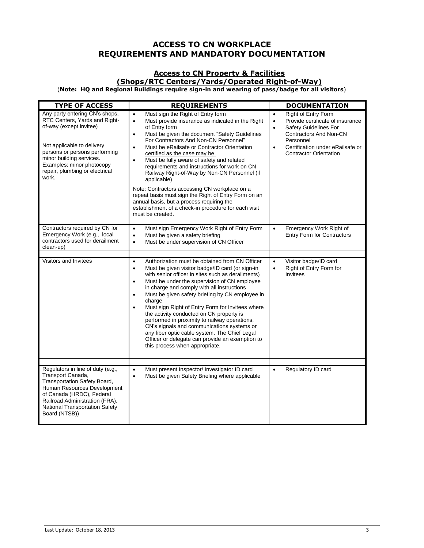### **ACCESS TO CN WORKPLACE REQUIREMENTS AND MANDATORY DOCUMENTATION**

## **Access to CN Property & Facilities**

**(Shops/RTC Centers/Yards/Operated Right-of-Way)** (**Note: HQ and Regional Buildings require sign-in and wearing of pass/badge for all visitors**)

| <b>TYPE OF ACCESS</b>                                                                                                                                                                                                                                         | <b>REQUIREMENTS</b>                                                                                                                                                                                                                                                                                                                                                                                                                                                                                                                                                                                                                                                                                                                            | <b>DOCUMENTATION</b>                                                                                                                                                                                                                                    |
|---------------------------------------------------------------------------------------------------------------------------------------------------------------------------------------------------------------------------------------------------------------|------------------------------------------------------------------------------------------------------------------------------------------------------------------------------------------------------------------------------------------------------------------------------------------------------------------------------------------------------------------------------------------------------------------------------------------------------------------------------------------------------------------------------------------------------------------------------------------------------------------------------------------------------------------------------------------------------------------------------------------------|---------------------------------------------------------------------------------------------------------------------------------------------------------------------------------------------------------------------------------------------------------|
| Any party entering CN's shops,<br>RTC Centers, Yards and Right-<br>of-way (except invitee)<br>Not applicable to delivery<br>persons or persons performing<br>minor building services.<br>Examples: minor photocopy<br>repair, plumbing or electrical<br>work. | Must sign the Right of Entry form<br>$\bullet$<br>Must provide insurance as indicated in the Right<br>$\bullet$<br>of Entry form<br>Must be given the document "Safety Guidelines<br>$\bullet$<br>For Contractors And Non-CN Personnel"<br>Must be eRailsafe or Contractor Orientation<br>$\bullet$<br>certified as the case may be<br>Must be fully aware of safety and related<br>$\bullet$<br>requirements and instructions for work on CN<br>Railway Right-of-Way by Non-CN Personnel (if<br>applicable)<br>Note: Contractors accessing CN workplace on a<br>repeat basis must sign the Right of Entry Form on an<br>annual basis, but a process requiring the<br>establishment of a check-in procedure for each visit<br>must be created. | Right of Entry Form<br>$\bullet$<br>Provide certificate of insurance<br>$\bullet$<br>Safety Guidelines For<br>$\bullet$<br><b>Contractors And Non-CN</b><br>Personnel<br>Certification under eRailsafe or<br>$\bullet$<br><b>Contractor Orientation</b> |
|                                                                                                                                                                                                                                                               |                                                                                                                                                                                                                                                                                                                                                                                                                                                                                                                                                                                                                                                                                                                                                |                                                                                                                                                                                                                                                         |
| Contractors required by CN for<br>Emergency Work (e.g., local<br>contractors used for derailment<br>clean-up)                                                                                                                                                 | Must sign Emergency Work Right of Entry Form<br>$\bullet$<br>Must be given a safety briefing<br>$\bullet$<br>Must be under supervision of CN Officer<br>$\bullet$                                                                                                                                                                                                                                                                                                                                                                                                                                                                                                                                                                              | Emergency Work Right of<br>$\bullet$<br><b>Entry Form for Contractors</b>                                                                                                                                                                               |
|                                                                                                                                                                                                                                                               |                                                                                                                                                                                                                                                                                                                                                                                                                                                                                                                                                                                                                                                                                                                                                |                                                                                                                                                                                                                                                         |
| <b>Visitors and Invitees</b>                                                                                                                                                                                                                                  | Authorization must be obtained from CN Officer<br>$\bullet$<br>Must be given visitor badge/ID card (or sign-in<br>$\bullet$<br>with senior officer in sites such as derailments)<br>Must be under the supervision of CN employee<br>$\bullet$<br>in charge and comply with all instructions<br>Must be given safety briefing by CN employee in<br>$\bullet$<br>charge<br>Must sign Right of Entry Form for Invitees where<br>the activity conducted on CN property is<br>performed in proximity to railway operations,<br>CN's signals and communications systems or<br>any fiber optic cable system. The Chief Legal<br>Officer or delegate can provide an exemption to<br>this process when appropriate.                                     | Visitor badge/ID card<br>$\bullet$<br>Right of Entry Form for<br>$\bullet$<br>Invitees                                                                                                                                                                  |
| Regulators in line of duty (e.g.,                                                                                                                                                                                                                             | Must present Inspector/ Investigator ID card<br>$\bullet$                                                                                                                                                                                                                                                                                                                                                                                                                                                                                                                                                                                                                                                                                      | Regulatory ID card<br>$\bullet$                                                                                                                                                                                                                         |
| Transport Canada,<br>Transportation Safety Board,<br>Human Resources Development<br>of Canada (HRDC), Federal<br>Railroad Administration (FRA),<br>National Transportation Safety<br>Board (NTSB))                                                            | Must be given Safety Briefing where applicable<br>$\bullet$                                                                                                                                                                                                                                                                                                                                                                                                                                                                                                                                                                                                                                                                                    |                                                                                                                                                                                                                                                         |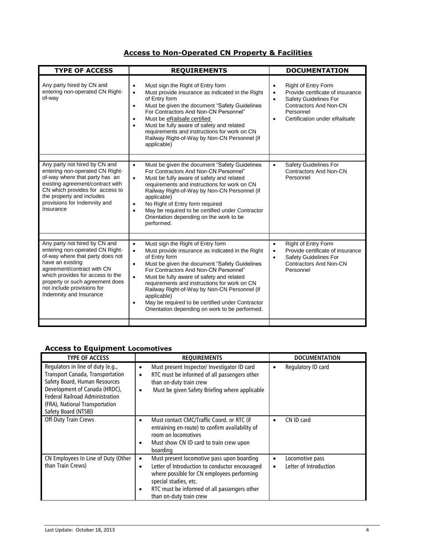## **Access to Non-Operated CN Property & Facilities**

| <b>TYPE OF ACCESS</b>                                                                                                                                                                                                                                                                  | <b>REQUIREMENTS</b>                                                                                                                                                                                                                                                                                                                                                                                                                                                                                                                 | <b>DOCUMENTATION</b>                                                                                                                                                                                        |
|----------------------------------------------------------------------------------------------------------------------------------------------------------------------------------------------------------------------------------------------------------------------------------------|-------------------------------------------------------------------------------------------------------------------------------------------------------------------------------------------------------------------------------------------------------------------------------------------------------------------------------------------------------------------------------------------------------------------------------------------------------------------------------------------------------------------------------------|-------------------------------------------------------------------------------------------------------------------------------------------------------------------------------------------------------------|
| Any party hired by CN and<br>entering non-operated CN Right-<br>of-way                                                                                                                                                                                                                 | Must sign the Right of Entry form<br>$\bullet$<br>Must provide insurance as indicated in the Right<br>$\bullet$<br>of Entry form<br>Must be given the document "Safety Guidelines<br>$\bullet$<br>For Contractors And Non-CN Personnel"<br>Must be eRailsafe certified<br>$\bullet$<br>Must be fully aware of safety and related<br>$\bullet$<br>requirements and instructions for work on CN<br>Railway Right-of-Way by Non-CN Personnel (if<br>applicable)                                                                        | Right of Entry Form<br>$\bullet$<br>Provide certificate of insurance<br>٠<br>Safety Guidelines For<br>$\bullet$<br><b>Contractors And Non-CN</b><br>Personnel<br>Certification under eRailsafe<br>$\bullet$ |
| Any party not hired by CN and<br>entering non-operated CN Right-<br>of-way where that party has an<br>existing agreement/contract with<br>CN which provides for access to<br>the property and includes<br>provisions for Indemnity and<br>Insurance                                    | Must be given the document "Safety Guidelines"<br>$\bullet$<br>For Contractors And Non-CN Personnel"<br>Must be fully aware of safety and related<br>$\bullet$<br>requirements and instructions for work on CN<br>Railway Right-of-Way by Non-CN Personnel (if<br>applicable)<br>No Right of Entry form required<br>May be required to be certified under Contractor<br>$\bullet$<br>Orientation depending on the work to be<br>performed.                                                                                          | Safety Guidelines For<br>$\bullet$<br><b>Contractors And Non-CN</b><br>Personnel                                                                                                                            |
| Any party not hired by CN and<br>entering non-operated CN Right-<br>of-way where that party does not<br>have an existing<br>agreement/contract with CN<br>which provides for access to the<br>property or such agreement does<br>not include provisions for<br>Indemnity and Insurance | Must sign the Right of Entry form<br>$\bullet$<br>Must provide insurance as indicated in the Right<br>$\bullet$<br>of Entry form<br>Must be given the document "Safety Guidelines<br>$\bullet$<br>For Contractors And Non-CN Personnel"<br>Must be fully aware of safety and related<br>$\bullet$<br>requirements and instructions for work on CN<br>Railway Right-of-Way by Non-CN Personnel (if<br>applicable)<br>May be required to be certified under Contractor<br>$\bullet$<br>Orientation depending on work to be performed. | Right of Entry Form<br>$\bullet$<br>Provide certificate of insurance<br>$\bullet$<br>Safety Guidelines For<br>$\bullet$<br>Contractors And Non-CN<br>Personnel                                              |

## **Access to Equipment Locomotives**

| <b>TYPE OF ACCESS</b>                                                                                                                                                                                                                              | <b>REQUIREMENTS</b><br><b>DOCUMENTATION</b>                                                                                                                                                                                                    |                                                                     |
|----------------------------------------------------------------------------------------------------------------------------------------------------------------------------------------------------------------------------------------------------|------------------------------------------------------------------------------------------------------------------------------------------------------------------------------------------------------------------------------------------------|---------------------------------------------------------------------|
| Regulators in line of duty (e.g.,<br><b>Transport Canada, Transportation</b><br>Safety Board, Human Resources<br>Development of Canada (HRDC),<br><b>Federal Railroad Administration</b><br>(FRA), National Transportation<br>Safety Board (NTSB)) | Must present Inspector/ Investigator ID card<br>RTC must be informed of all passengers other<br>than on-duty train crew<br>Must be given Safety Briefing where applicable                                                                      | Regulatory ID card<br>٠                                             |
| <b>Off-Duty Train Crews</b>                                                                                                                                                                                                                        | Must contact CMC/Traffic Coord. or RTC (if<br>٠<br>entraining en-route) to confirm availability of<br>room on locomotives<br>Must show CN ID card to train crew upon<br>boarding                                                               | CN ID card<br>$\bullet$                                             |
| CN Employees In Line of Duty (Other<br>than Train Crews)                                                                                                                                                                                           | Must present locomotive pass upon boarding<br>Letter of Introduction to conductor encouraged<br>where possible for CN employees performing<br>special studies, etc.<br>RTC must be informed of all passengers other<br>than on-duty train crew | Locomotive pass<br>$\bullet$<br>Letter of Introduction<br>$\bullet$ |

 $\mathbf{r}$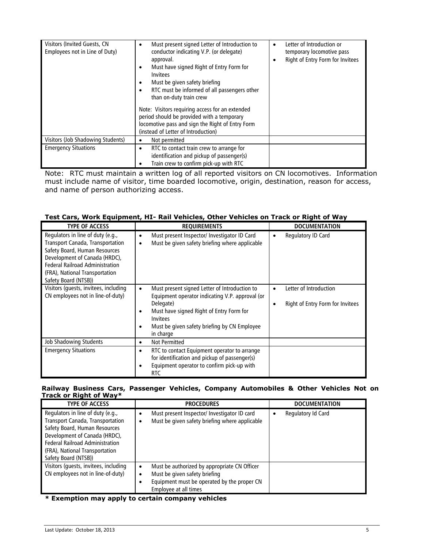| Visitors (Invited Guests, CN<br>Employees not in Line of Duty) | Must present signed Letter of Introduction to<br>$\bullet$<br>conductor indicating V.P. (or delegate)<br>approval.<br>Must have signed Right of Entry Form for<br><b>Invitees</b><br>Must be given safety briefing<br>٠<br>RTC must be informed of all passengers other<br>$\bullet$<br>than on-duty train crew | Letter of Introduction or<br>$\bullet$<br>temporary locomotive pass<br>Right of Entry Form for Invitees |
|----------------------------------------------------------------|-----------------------------------------------------------------------------------------------------------------------------------------------------------------------------------------------------------------------------------------------------------------------------------------------------------------|---------------------------------------------------------------------------------------------------------|
|                                                                | Note: Visitors requiring access for an extended<br>period should be provided with a temporary<br>locomotive pass and sign the Right of Entry Form<br>(instead of Letter of Introduction)                                                                                                                        |                                                                                                         |
| Visitors (Job Shadowing Students)                              | Not permitted<br>٠                                                                                                                                                                                                                                                                                              |                                                                                                         |
| <b>Emergency Situations</b>                                    | RTC to contact train crew to arrange for<br>٠<br>identification and pickup of passenger(s)<br>Train crew to confirm pick-up with RTC                                                                                                                                                                            |                                                                                                         |

Note: RTC must maintain a written log of all reported visitors on CN locomotives. Information must include name of visitor, time boarded locomotive, origin, destination, reason for access, and name of person authorizing access.

|                                                                                                                                                                                                                                                    | ICSL CAIS, WOIK EQUIPMENT, ILE KAII VEHICIES, OLIIEI VEHICIES ON TIACK OF NIGHT OF WAY                                                                                                                                                                           |                                                            |
|----------------------------------------------------------------------------------------------------------------------------------------------------------------------------------------------------------------------------------------------------|------------------------------------------------------------------------------------------------------------------------------------------------------------------------------------------------------------------------------------------------------------------|------------------------------------------------------------|
| <b>TYPE OF ACCESS</b>                                                                                                                                                                                                                              | <b>REOUIREMENTS</b>                                                                                                                                                                                                                                              | <b>DOCUMENTATION</b>                                       |
| Regulators in line of duty (e.g.,<br><b>Transport Canada, Transportation</b><br>Safety Board, Human Resources<br>Development of Canada (HRDC),<br><b>Federal Railroad Administration</b><br>(FRA), National Transportation<br>Safety Board (NTSB)) | Must present Inspector/ Investigator ID Card<br>$\bullet$<br>Must be given safety briefing where applicable<br>$\bullet$                                                                                                                                         | Regulatory ID Card                                         |
| Visitors (quests, invitees, including<br>CN employees not in line-of-duty)                                                                                                                                                                         | Must present signed Letter of Introduction to<br>$\bullet$<br>Equipment operator indicating V.P. approval (or<br>Delegate)<br>Must have signed Right of Entry Form for<br>٠<br><b>Invitees</b><br>Must be given safety briefing by CN Employee<br>٠<br>in charge | Letter of Introduction<br>Right of Entry Form for Invitees |
| Job Shadowing Students                                                                                                                                                                                                                             | <b>Not Permitted</b><br>$\bullet$                                                                                                                                                                                                                                |                                                            |
| <b>Emergency Situations</b>                                                                                                                                                                                                                        | RTC to contact Equipment operator to arrange<br>$\bullet$<br>for identification and pickup of passenger(s)<br>Equipment operator to confirm pick-up with<br>٠<br><b>RTC</b>                                                                                      |                                                            |

### **Test Cars, Work Equipment, HI- Rail Vehicles, Other Vehicles on Track or Right of Way**

#### **Railway Business Cars, Passenger Vehicles, Company Automobiles & Other Vehicles Not on Track or Right of Way\***

| <b>TYPE OF ACCESS</b>                                                                                                                                                                                                                       | <b>PROCEDURES</b>                                                                                                                                     | <b>DOCUMENTATION</b> |
|---------------------------------------------------------------------------------------------------------------------------------------------------------------------------------------------------------------------------------------------|-------------------------------------------------------------------------------------------------------------------------------------------------------|----------------------|
| Regulators in line of duty (e.g.,<br>Transport Canada, Transportation<br>Safety Board, Human Resources<br>Development of Canada (HRDC),<br><b>Federal Railroad Administration</b><br>(FRA), National Transportation<br>Safety Board (NTSB)) | Must present Inspector/ Investigator ID card<br>Must be given safety briefing where applicable                                                        | Regulatory Id Card   |
| Visitors (quests, invitees, including<br>CN employees not in line-of-duty)                                                                                                                                                                  | Must be authorized by appropriate CN Officer<br>Must be given safety briefing<br>Equipment must be operated by the proper CN<br>Employee at all times |                      |

**\* Exemption may apply to certain company vehicles**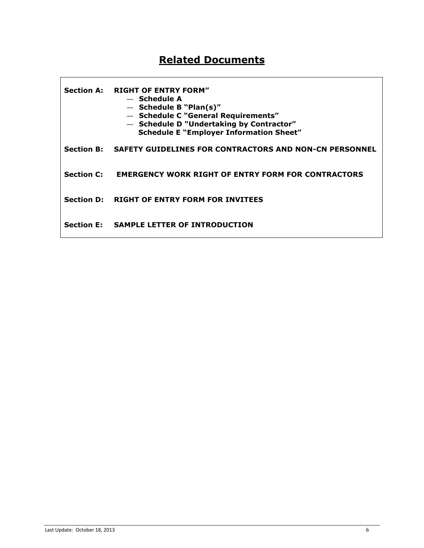# **Related Documents**

**Section A: RIGHT OF ENTRY FORM"**

- **Schedule A**
- **Schedule B "Plan(s)"**
- **Schedule C "General Requirements"**
- **Schedule D "Undertaking by Contractor"**
	- **Schedule E "Employer Information Sheet"**

**Section B: SAFETY GUIDELINES FOR CONTRACTORS AND NON-CN PERSONNEL**

**Section C: EMERGENCY WORK RIGHT OF ENTRY FORM FOR CONTRACTORS**

**Section D: RIGHT OF ENTRY FORM FOR INVITEES** 

**Section E: SAMPLE LETTER OF INTRODUCTION**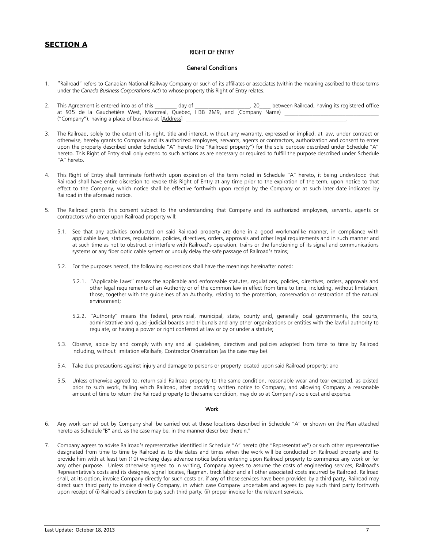### **SECTION A**

#### RIGHT OF ENTRY

#### General Conditions

- 1. "Railroad" refers to Canadian National Railway Company or such of its affiliates or associates (within the meaning ascribed to those terms under the *Canada Business Corporations Act*) to whose property this Right of Entry relates.
- 2. This Agreement is entered into as of this day of the day of the control of the control office dependence of the control of the control of the control of the control of the control of the control of the control of the co at 935 de la Gauchetière West, Montreal, Quebec, H3B 2M9, and [Company Name) ("Company"), having a place of business at [Address]
- 3. The Railroad, solely to the extent of its right, title and interest, without any warranty, expressed or implied, at law, under contract or otherwise, hereby grants to Company and its authorized employees, servants, agents or contractors, authorization and consent to enter upon the property described under Schedule "A" hereto (the "Railroad property") for the sole purpose described under Schedule "A" hereto. This Right of Entry shall only extend to such actions as are necessary or required to fulfill the purpose described under Schedule "A" hereto.
- 4. This Right of Entry shall terminate forthwith upon expiration of the term noted in Schedule "A" hereto, it being understood that Railroad shall have entire discretion to revoke this Right of Entry at any time prior to the expiration of the term, upon notice to that effect to the Company, which notice shall be effective forthwith upon receipt by the Company or at such later date indicated by Railroad in the aforesaid notice.
- 5. The Railroad grants this consent subject to the understanding that Company and its authorized employees, servants, agents or contractors who enter upon Railroad property will:
	- 5.1. See that any activities conducted on said Railroad property are done in a good workmanlike manner, in compliance with applicable laws, statutes, regulations, policies, directives, orders, approvals and other legal requirements and in such manner and at such time as not to obstruct or interfere with Railroad's operation, trains or the functioning of its signal and communications systems or any fiber optic cable system or unduly delay the safe passage of Railroad's trains;
	- 5.2. For the purposes hereof, the following expressions shall have the meanings hereinafter noted:
		- 5.2.1. "Applicable Laws" means the applicable and enforceable statutes, regulations, policies, directives, orders, approvals and other legal requirements of an Authority or of the common law in effect from time to time, including, without limitation, those, together with the guidelines of an Authority, relating to the protection, conservation or restoration of the natural environment;
		- 5.2.2. "Authority" means the federal, provincial, municipal, state, county and, generally local governments, the courts, administrative and quasi-judicial boards and tribunals and any other organizations or entities with the lawful authority to regulate, or having a power or right conferred at law or by or under a statute;
	- 5.3. Observe, abide by and comply with any and all guidelines, directives and policies adopted from time to time by Railroad including, without limitation eRailsafe, Contractor Orientation (as the case may be).
	- 5.4. Take due precautions against injury and damage to persons or property located upon said Railroad property; and
	- 5.5. Unless otherwise agreed to, return said Railroad property to the same condition, reasonable wear and tear excepted, as existed prior to such work, failing which Railroad, after providing written notice to Company, and allowing Company a reasonable amount of time to return the Railroad property to the same condition, may do so at Company's sole cost and expense.

#### Work

- 6. Any work carried out by Company shall be carried out at those locations described in Schedule "A" or shown on the Plan attached hereto as Schedule "B" and, as the case may be, in the manner described therein."
- 7. Company agrees to advise Railroad's representative identified in Schedule "A" hereto (the "Representative") or such other representative designated from time to time by Railroad as to the dates and times when the work will be conducted on Railroad property and to provide him with at least ten (10) working days advance notice before entering upon Railroad property to commence any work or for any other purpose. Unless otherwise agreed to in writing, Company agrees to assume the costs of engineering services, Railroad's Representative's costs and its designee, signal locates, flagman, track labor and all other associated costs incurred by Railroad. Railroad shall, at its option, invoice Company directly for such costs or, if any of those services have been provided by a third party, Railroad may direct such third party to invoice directly Company, in which case Company undertakes and agrees to pay such third party forthwith upon receipt of (i) Railroad's direction to pay such third party; (ii) proper invoice for the relevant services.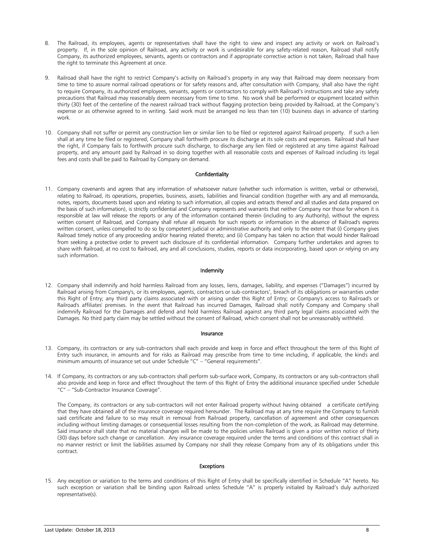- 8. The Railroad, its employees, agents or representatives shall have the right to view and inspect any activity or work on Railroad's property. If, in the sole opinion of Railroad, any activity or work is undesirable for any safety-related reason, Railroad shall notify Company, its authorized employees, servants, agents or contractors and if appropriate corrective action is not taken, Railroad shall have the right to terminate this Agreement at once.
- 9. Railroad shall have the right to restrict Company's activity on Railroad's property in any way that Railroad may deem necessary from time to time to assure normal railroad operations or for safety reasons and, after consultation with Company, shall also have the right to require Company, its authorized employees, servants, agents or contractors to comply with Railroad's instructions and take any safety precautions that Railroad may reasonably deem necessary from time to time. No work shall be performed or equipment located within thirty (30) feet of the centerline of the nearest railroad track without flagging protection being provided by Railroad, at the Company's expense or as otherwise agreed to in writing. Said work must be arranged no less than ten (10) business days in advance of starting work.
- 10. Company shall not suffer or permit any construction lien or similar lien to be filed or registered against Railroad property. If such a lien shall at any time be filed or registered, Company shall forthwith procure its discharge at its sole costs and expenses. Railroad shall have the right, if Company fails to forthwith procure such discharge, to discharge any lien filed or registered at any time against Railroad property, and any amount paid by Railroad in so doing together with all reasonable costs and expenses of Railroad including its legal fees and costs shall be paid to Railroad by Company on demand.

#### Confidentiality

11. Company covenants and agrees that any information of whatsoever nature (whether such information is written, verbal or otherwise), relating to Railroad, its operations, properties, business, assets, liabilities and financial condition (together with any and all memoranda, notes, reports, documents based upon and relating to such information, all copies and extracts thereof and all studies and data prepared on the basis of such information), is strictly confidential and Company represents and warrants that neither Company nor those for whom it is responsible at law will release the reports or any of the information contained therein (including to any Authority), without the express written consent of Railroad, and Company shall refuse all requests for such reports or information in the absence of Railroad's express written consent, unless compelled to do so by competent judicial or administrative authority and only to the extent that (i) Company gives Railroad timely notice of any proceeding and/or hearing related thereto; and (ii) Company has taken no action that would hinder Railroad from seeking a protective order to prevent such disclosure of its confidential information. Company further undertakes and agrees to share with Railroad, at no cost to Railroad, any and all conclusions, studies, reports or data incorporating, based upon or relying on any such information.

#### Indemnity

12. Company shall indemnify and hold harmless Railroad from any losses, liens, damages, liability, and expenses ("Damages") incurred by Railroad arising from Company's, or its employees, agents, contractors or sub-contractors', breach of its obligations or warranties under this Right of Entry; any third party claims associated with or arising under this Right of Entry; or Company's access to Railroad's or Railroad's affiliates' premises. In the event that Railroad has incurred Damages, Railroad shall notify Company and Company shall indemnify Railroad for the Damages and defend and hold harmless Railroad against any third party legal claims associated with the Damages. No third party claim may be settled without the consent of Railroad, which consent shall not be unreasonably withheld.

#### Insurance

- 13. Company, its contractors or any sub-contractors shall each provide and keep in force and effect throughout the term of this Right of Entry such insurance, in amounts and for risks as Railroad may prescribe from time to time including, if applicable, the kinds and minimum amounts of insurance set out under Schedule "C" – "General requirements".
- 14. If Company, its contractors or any sub-contractors shall perform sub-surface work, Company, its contractors or any sub-contractors shall also provide and keep in force and effect throughout the term of this Right of Entry the additional insurance specified under Schedule "C" – "Sub-Contractor Insurance Coverage".

The Company, its contractors or any sub-contractors will not enter Railroad property without having obtained a certificate certifying that they have obtained all of the insurance coverage required hereunder. The Railroad may at any time require the Company to furnish said certificate and failure to so may result in removal from Railroad property, cancellation of agreement and other consequences including without limiting damages or consequential losses resulting from the non-completion of the work, as Railroad may determine. Said insurance shall state that no material changes will be made to the policies unless Railroad is given a prior written notice of thirty (30) days before such change or cancellation. Any insurance coverage required under the terms and conditions of this contract shall in no manner restrict or limit the liabilities assumed by Company nor shall they release Company from any of its obligations under this contract.

#### Exceptions

15. Any exception or variation to the terms and conditions of this Right of Entry shall be specifically identified in Schedule "A" hereto. No such exception or variation shall be binding upon Railroad unless Schedule "A" is properly initialed by Railroad's duly authorized representative(s).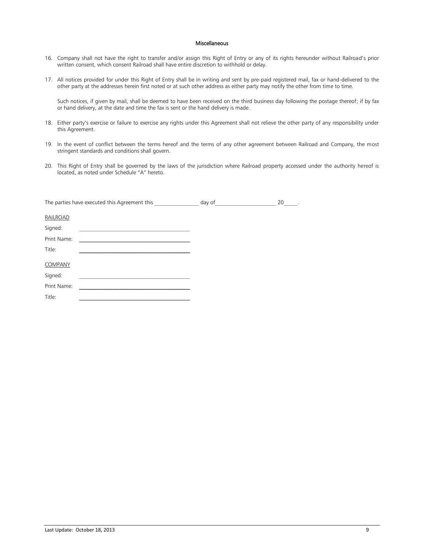#### Miscellaneous

- 16. Company shall not have the right to transfer and/or assign this Right of Entry or any of its rights hereunder without Railroad's prior written consent, which consent Railroad shall have entire discretion to withhold or delay.
- 17. All notices provided for under this Right of Entry shall be in writing and sent by pre-paid registered mail, fax or hand-delivered to the other party at the addresses herein first noted or at such other address as either party may notify the other from time to time.

Such notices, if given by mail, shall be deemed to have been received on the third business day following the postage thereof; if by fax or hand delivery, at the date and time the fax is sent or the hand delivery is made.

- 18. Either party's exercise or failure to exercise any rights under this Agreement shall not relieve the other party of any responsibility under this Agreement.
- 19. In the event of conflict between the terms hereof and the terms of any other agreement between Railroad and Company, the most stringent standards and conditions shall govern.
- 20. This Right of Entry shall be governed by the laws of the jurisdiction where Railroad property accessed under the authority hereof is located, as noted under Schedule "A" hereto.

| The parties have executed this Agreement this | day of | 20 |
|-----------------------------------------------|--------|----|
| RAILROAD                                      |        |    |
| Signed:                                       |        |    |
| Print Name:                                   |        |    |
| Title:                                        |        |    |
| COMPANY                                       |        |    |
| Signed:                                       |        |    |
| Print Name:                                   |        |    |
| Title:                                        |        |    |
|                                               |        |    |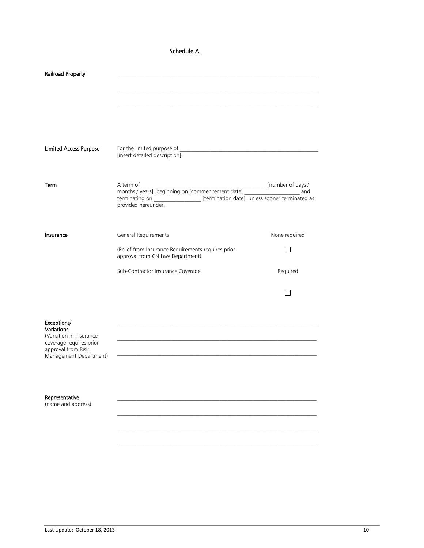## Schedule A

| Railroad Property                                                                                                               |                                                                                                                        |                          |
|---------------------------------------------------------------------------------------------------------------------------------|------------------------------------------------------------------------------------------------------------------------|--------------------------|
|                                                                                                                                 |                                                                                                                        |                          |
|                                                                                                                                 |                                                                                                                        |                          |
| <b>Limited Access Purpose</b>                                                                                                   | For the limited purpose of<br>[insert detailed description].                                                           |                          |
| Term                                                                                                                            | A term of<br>terminating on ___________________ [termination date], unless sooner terminated as<br>provided hereunder. | [number of days /<br>and |
| Insurance                                                                                                                       | General Requirements<br>(Relief from Insurance Requirements requires prior<br>approval from CN Law Department)         | None required<br>П       |
|                                                                                                                                 | Sub-Contractor Insurance Coverage                                                                                      | Required                 |
|                                                                                                                                 |                                                                                                                        |                          |
| Exceptions/<br>Variations<br>(Variation in insurance<br>coverage requires prior<br>approval from Risk<br>Management Department) |                                                                                                                        |                          |

 $\mathcal{L}_\text{max} = \mathcal{L}_\text{max} = \mathcal{L}_\text{max} = \mathcal{L}_\text{max} = \mathcal{L}_\text{max} = \mathcal{L}_\text{max} = \mathcal{L}_\text{max} = \mathcal{L}_\text{max} = \mathcal{L}_\text{max} = \mathcal{L}_\text{max} = \mathcal{L}_\text{max} = \mathcal{L}_\text{max} = \mathcal{L}_\text{max} = \mathcal{L}_\text{max} = \mathcal{L}_\text{max} = \mathcal{L}_\text{max} = \mathcal{L}_\text{max} = \mathcal{L}_\text{max} = \mathcal{$ 

(name and address)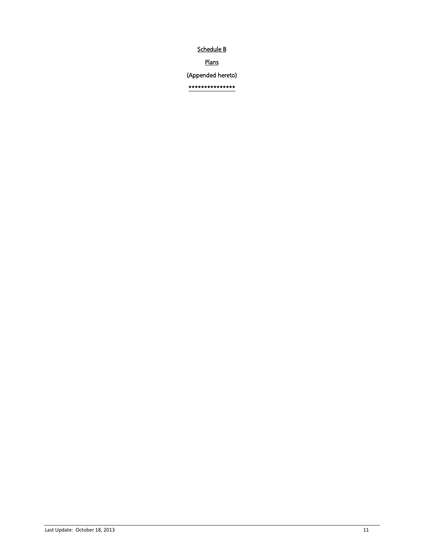Schedule B

Plans

(Appended hereto)

\*\*\*\*\*\*\*\*\*\*\*\*\*\*\*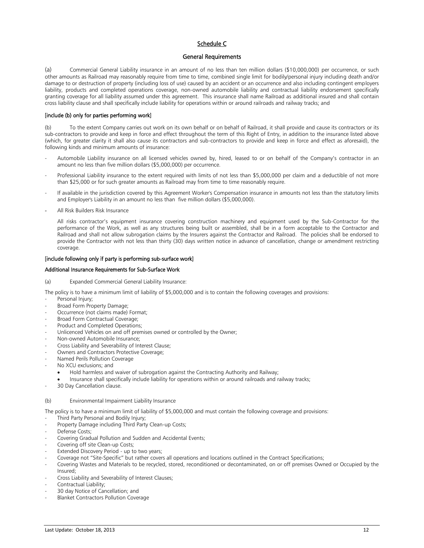#### Schedule C

#### General Requirements

(a) Commercial General Liability insurance in an amount of no less than ten million dollars (\$10,000,000) per occurrence, or such other amounts as Railroad may reasonably require from time to time, combined single limit for bodily/personal injury including death and/or damage to or destruction of property (including loss of use) caused by an accident or an occurrence and also including contingent employers liability, products and completed operations coverage, non-owned automobile liability and contractual liability endorsement specifically granting coverage for all liability assumed under this agreement. This insurance shall name Railroad as additional insured and shall contain cross liability clause and shall specifically include liability for operations within or around railroads and railway tracks; and

#### [include (b) only for parties performing work]

(b) To the extent Company carries out work on its own behalf or on behalf of Railroad, it shall provide and cause its contractors or its sub-contractors to provide and keep in force and effect throughout the term of this Right of Entry, in addition to the insurance listed above (which, for greater clarity it shall also cause its contractors and sub-contractors to provide and keep in force and effect as aforesaid), the following kinds and minimum amounts of insurance:

- Automobile Liability insurance on all licensed vehicles owned by, hired, leased to or on behalf of the Company's contractor in an amount no less than five million dollars (\$5,000,000) per occurrence.
- Professional Liability insurance to the extent required with limits of not less than \$5,000,000 per claim and a deductible of not more than \$25,000 or for such greater amounts as Railroad may from time to time reasonably require.
- If available in the jurisdiction covered by this Agreement Worker's Compensation insurance in amounts not less than the statutory limits and Employer's Liability in an amount no less than five million dollars (\$5,000,000).
- All Risk Builders Risk Insurance

All risks contractor's equipment insurance covering construction machinery and equipment used by the Sub-Contractor for the performance of the Work, as well as any structures being built or assembled, shall be in a form acceptable to the Contractor and Railroad and shall not allow subrogation claims by the Insurers against the Contractor and Railroad. The policies shall be endorsed to provide the Contractor with not less than thirty (30) days written notice in advance of cancellation, change or amendment restricting coverage.

#### [include following only if party is performing sub-surface work]

#### Additional Insurance Requirements for Sub-Surface Work

#### (a) Expanded Commercial General Liability Insurance:

The policy is to have a minimum limit of liability of \$5,000,000 and is to contain the following coverages and provisions:

- Personal Injury;
- Broad Form Property Damage;
- Occurrence (not claims made) Format;
- Broad Form Contractual Coverage;
- Product and Completed Operations:
- Unlicenced Vehicles on and off premises owned or controlled by the Owner;
- Non-owned Automobile Insurance;
- Cross Liability and Severability of Interest Clause;
- Owners and Contractors Protective Coverage;
- Named Perils Pollution Coverage
- No XCU exclusions; and
	- Hold harmless and waiver of subrogation against the Contracting Authority and Railway;
	- Insurance shall specifically include liability for operations within or around railroads and railway tracks;
- 30 Day Cancellation clause.

#### (b) Environmental Impairment Liability Insurance

The policy is to have a minimum limit of liability of \$5,000,000 and must contain the following coverage and provisions:

- Third Party Personal and Bodily Injury;
- Property Damage including Third Party Clean-up Costs;
- Defense Costs;
- Covering Gradual Pollution and Sudden and Accidental Events;
- Covering off site Clean-up Costs;
- Extended Discovery Period up to two years;
- Coverage not "Site-Specific" but rather covers all operations and locations outlined in the Contract Specifications;
- Covering Wastes and Materials to be recycled, stored, reconditioned or decontaminated, on or off premises Owned or Occupied by the Insured;
- Cross Liability and Severability of Interest Clauses;
- Contractual Liability;
- 30 day Notice of Cancellation; and
- Blanket Contractors Pollution Coverage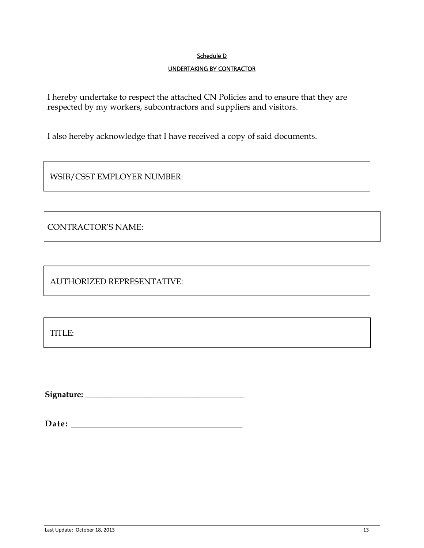### Schedule D

### UNDERTAKING BY CONTRACTOR

I hereby undertake to respect the attached CN Policies and to ensure that they are respected by my workers, subcontractors and suppliers and visitors.

I also hereby acknowledge that I have received a copy of said documents.

WSIB/CSST EMPLOYER NUMBER:

CONTRACTOR'S NAME:

AUTHORIZED REPRESENTATIVE:

TITLE:

**Signature: \_\_\_\_\_\_\_\_\_\_\_\_\_\_\_\_\_\_\_\_\_\_\_\_\_\_\_\_\_\_\_\_\_\_\_\_\_\_\_**

**Date: \_\_\_\_\_\_\_\_\_\_\_\_\_\_\_\_\_\_\_\_\_\_\_\_\_\_\_\_\_\_\_\_\_\_\_\_\_\_\_\_\_\_**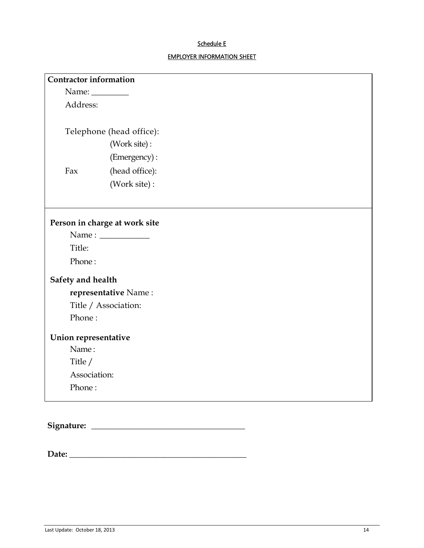### Schedule E

## EMPLOYER INFORMATION SHEET

|                      | <b>Contractor information</b>                           |  |  |
|----------------------|---------------------------------------------------------|--|--|
|                      | Name: ___________                                       |  |  |
| Address:             |                                                         |  |  |
|                      | Telephone (head office):                                |  |  |
|                      | (Work site):                                            |  |  |
|                      | (Emergency):                                            |  |  |
| Fax                  | (head office):                                          |  |  |
|                      | (Work site):                                            |  |  |
|                      |                                                         |  |  |
|                      |                                                         |  |  |
|                      |                                                         |  |  |
|                      | Person in charge at work site                           |  |  |
| Title:               | Name : $\frac{1}{\sqrt{1-\frac{1}{2}}\cdot\frac{1}{2}}$ |  |  |
| Phone:               |                                                         |  |  |
| Safety and health    |                                                         |  |  |
|                      | representative Name:                                    |  |  |
|                      | Title / Association:                                    |  |  |
| Phone:               |                                                         |  |  |
| Union representative |                                                         |  |  |
| Name:                |                                                         |  |  |
| Title /              |                                                         |  |  |
| Association:         |                                                         |  |  |

**Signature: \_\_\_\_\_\_\_\_\_\_\_\_\_\_\_\_\_\_\_\_\_\_\_\_\_\_\_\_\_\_\_\_\_\_\_\_\_**

**Date: \_\_\_\_\_\_\_\_\_\_\_\_\_\_\_\_\_\_\_\_\_\_\_\_\_\_\_\_\_\_\_\_\_\_\_\_\_\_\_\_\_\_\_**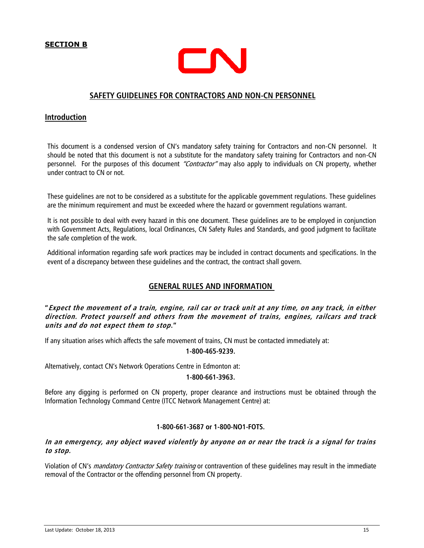**SECTION B**



## **SAFETY GUIDELINES FOR CONTRACTORS AND NON-CN PERSONNEL**

### **Introduction**

This document is a condensed version of CN's mandatory safety training for Contractors and non-CN personnel. It should be noted that this document is not a substitute for the mandatory safety training for Contractors and non-CN personnel. For the purposes of this document "Contractor" may also apply to individuals on CN property, whether under contract to CN or not.

These guidelines are not to be considered as a substitute for the applicable government regulations. These guidelines are the minimum requirement and must be exceeded where the hazard or government regulations warrant.

It is not possible to deal with every hazard in this one document. These guidelines are to be employed in conjunction with Government Acts, Regulations, local Ordinances, CN Safety Rules and Standards, and good judgment to facilitate the safe completion of the work.

Additional information regarding safe work practices may be included in contract documents and specifications. In the event of a discrepancy between these guidelines and the contract, the contract shall govern.

### **GENERAL RULES AND INFORMATION**

**"Expect the movement of a train, engine, rail car or track unit at any time, on any track, in either direction. Protect yourself and others from the movement of trains, engines, railcars and track units and do not expect them to stop."**

If any situation arises which affects the safe movement of trains, CN must be contacted immediately at:

#### **1-800-465-9239.**

Alternatively, contact CN's Network Operations Centre in Edmonton at:

#### **1-800-661-3963.**

Before any digging is performed on CN property, proper clearance and instructions must be obtained through the Information Technology Command Centre (ITCC Network Management Centre) at:

### **1-800-661-3687 or 1-800-NO1-FOTS.**

### **In an emergency, any object waved violently by anyone on or near the track is a signal for trains to stop.**

Violation of CN's *mandatory Contractor Safety training* or contravention of these quidelines may result in the immediate removal of the Contractor or the offending personnel from CN property.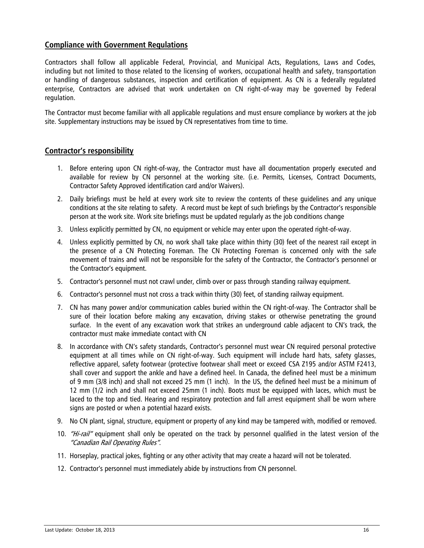## **Compliance with Government Regulations**

Contractors shall follow all applicable Federal, Provincial, and Municipal Acts, Regulations, Laws and Codes, including but not limited to those related to the licensing of workers, occupational health and safety, transportation or handling of dangerous substances, inspection and certification of equipment. As CN is a federally regulated enterprise, Contractors are advised that work undertaken on CN right-of-way may be governed by Federal regulation.

The Contractor must become familiar with all applicable regulations and must ensure compliance by workers at the job site. Supplementary instructions may be issued by CN representatives from time to time.

## **Contractor's responsibility**

- 1. Before entering upon CN right-of-way, the Contractor must have all documentation properly executed and available for review by CN personnel at the working site. (i.e. Permits, Licenses, Contract Documents, Contractor Safety Approved identification card and/or Waivers).
- 2. Daily briefings must be held at every work site to review the contents of these guidelines and any unique conditions at the site relating to safety. A record must be kept of such briefings by the Contractor's responsible person at the work site. Work site briefings must be updated regularly as the job conditions change
- 3. Unless explicitly permitted by CN, no equipment or vehicle may enter upon the operated right-of-way.
- 4. Unless explicitly permitted by CN, no work shall take place within thirty (30) feet of the nearest rail except in the presence of a CN Protecting Foreman. The CN Protecting Foreman is concerned only with the safe movement of trains and will not be responsible for the safety of the Contractor, the Contractor's personnel or the Contractor's equipment.
- 5. Contractor's personnel must not crawl under, climb over or pass through standing railway equipment.
- 6. Contractor's personnel must not cross a track within thirty (30) feet, of standing railway equipment.
- 7. CN has many power and/or communication cables buried within the CN right-of-way. The Contractor shall be sure of their location before making any excavation, driving stakes or otherwise penetrating the ground surface. In the event of any excavation work that strikes an underground cable adjacent to CN's track, the contractor must make immediate contact with CN
- 8. In accordance with CN's safety standards, Contractor's personnel must wear CN required personal protective equipment at all times while on CN right-of-way. Such equipment will include hard hats, safety glasses, reflective apparel, safety footwear (protective footwear shall meet or exceed CSA Z195 and/or ASTM F2413, shall cover and support the ankle and have a defined heel. In Canada, the defined heel must be a minimum of 9 mm (3/8 inch) and shall not exceed 25 mm (1 inch). In the US, the defined heel must be a minimum of 12 mm (1/2 inch and shall not exceed 25mm (1 inch). Boots must be equipped with laces, which must be laced to the top and tied. Hearing and respiratory protection and fall arrest equipment shall be worn where signs are posted or when a potential hazard exists.
- 9. No CN plant, signal, structure, equipment or property of any kind may be tampered with, modified or removed.
- 10. "Hi-rail" equipment shall only be operated on the track by personnel qualified in the latest version of the "Canadian Rail Operating Rules".
- 11. Horseplay, practical jokes, fighting or any other activity that may create a hazard will not be tolerated.
- 12. Contractor's personnel must immediately abide by instructions from CN personnel.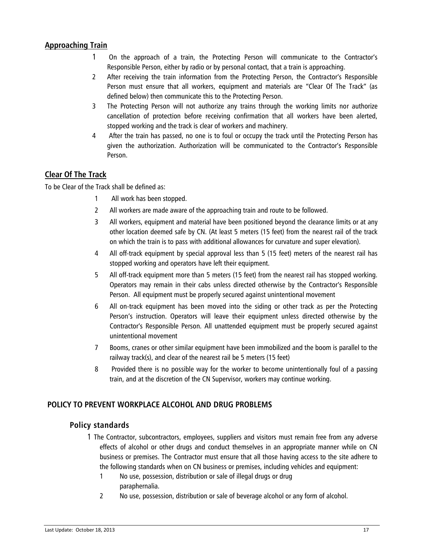## **Approaching Train**

- 1 On the approach of a train, the Protecting Person will communicate to the Contractor's Responsible Person, either by radio or by personal contact, that a train is approaching.
- 2 After receiving the train information from the Protecting Person, the Contractor's Responsible Person must ensure that all workers, equipment and materials are "Clear Of The Track" (as defined below) then communicate this to the Protecting Person.
- 3 The Protecting Person will not authorize any trains through the working limits nor authorize cancellation of protection before receiving confirmation that all workers have been alerted, stopped working and the track is clear of workers and machinery.
- 4 After the train has passed, no one is to foul or occupy the track until the Protecting Person has given the authorization. Authorization will be communicated to the Contractor's Responsible Person.

## **Clear Of The Track**

To be Clear of the Track shall be defined as:

- 1 All work has been stopped.
- 2 All workers are made aware of the approaching train and route to be followed.
- 3 All workers, equipment and material have been positioned beyond the clearance limits or at any other location deemed safe by CN. (At least 5 meters (15 feet) from the nearest rail of the track on which the train is to pass with additional allowances for curvature and super elevation).
- 4 All off-track equipment by special approval less than 5 (15 feet) meters of the nearest rail has stopped working and operators have left their equipment.
- 5 All off-track equipment more than 5 meters (15 feet) from the nearest rail has stopped working. Operators may remain in their cabs unless directed otherwise by the Contractor's Responsible Person. All equipment must be properly secured against unintentional movement
- 6 All on-track equipment has been moved into the siding or other track as per the Protecting Person's instruction. Operators will leave their equipment unless directed otherwise by the Contractor's Responsible Person. All unattended equipment must be properly secured against unintentional movement
- 7 Booms, cranes or other similar equipment have been immobilized and the boom is parallel to the railway track(s), and clear of the nearest rail be 5 meters (15 feet)
- 8 Provided there is no possible way for the worker to become unintentionally foul of a passing train, and at the discretion of the CN Supervisor, workers may continue working.

### **POLICY TO PREVENT WORKPLACE ALCOHOL AND DRUG PROBLEMS**

### **Policy standards**

- 1 The Contractor, subcontractors, employees, suppliers and visitors must remain free from any adverse effects of alcohol or other drugs and conduct themselves in an appropriate manner while on CN business or premises. The Contractor must ensure that all those having access to the site adhere to the following standards when on CN business or premises, including vehicles and equipment:
	- 1 No use, possession, distribution or sale of illegal drugs or drug paraphernalia.
	- 2 No use, possession, distribution or sale of beverage alcohol or any form of alcohol.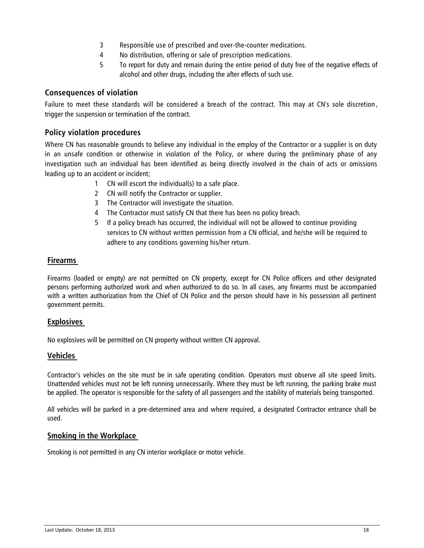- 3 Responsible use of prescribed and over-the-counter medications.
- 4 No distribution, offering or sale of prescription medications.
- 5 To report for duty and remain during the entire period of duty free of the negative effects of alcohol and other drugs, including the after effects of such use.

## **Consequences of violation**

Failure to meet these standards will be considered a breach of the contract. This may at CN's sole discretion , trigger the suspension or termination of the contract.

## **Policy violation procedures**

Where CN has reasonable grounds to believe any individual in the employ of the Contractor or a supplier is on duty in an unsafe condition or otherwise in violation of the Policy, or where during the preliminary phase of any investigation such an individual has been identified as being directly involved in the chain of acts or omissions leading up to an accident or incident;

- 1 CN will escort the individual(s) to a safe place.
- 2 CN will notify the Contractor or supplier.
- 3 The Contractor will investigate the situation.
- 4 The Contractor must satisfy CN that there has been no policy breach.
- 5 If a policy breach has occurred, the individual will not be allowed to continue providing services to CN without written permission from a CN official, and he/she will be required to adhere to any conditions governing his/her return.

## **Firearms**

Firearms (loaded or empty) are not permitted on CN property, except for CN Police officers and other designated persons performing authorized work and when authorized to do so. In all cases, any firearms must be accompanied with a written authorization from the Chief of CN Police and the person should have in his possession all pertinent government permits.

### **Explosives**

No explosives will be permitted on CN property without written CN approval.

## **Vehicles**

Contractor's vehicles on the site must be in safe operating condition. Operators must observe all site speed limits. Unattended vehicles must not be left running unnecessarily. Where they must be left running, the parking brake must be applied. The operator is responsible for the safety of all passengers and the stability of materials being transported.

All vehicles will be parked in a pre-determined area and where required, a designated Contractor entrance shall be used.

### **Smoking in the Workplace**

Smoking is not permitted in any CN interior workplace or motor vehicle.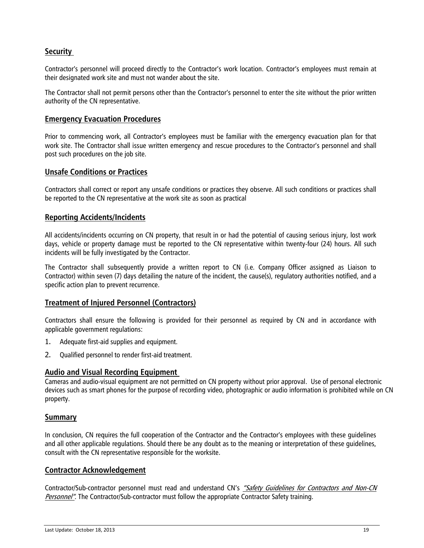## **Security**

Contractor's personnel will proceed directly to the Contractor's work location. Contractor's employees must remain at their designated work site and must not wander about the site.

The Contractor shall not permit persons other than the Contractor's personnel to enter the site without the prior written authority of the CN representative.

### **Emergency Evacuation Procedures**

Prior to commencing work, all Contractor's employees must be familiar with the emergency evacuation plan for that work site. The Contractor shall issue written emergency and rescue procedures to the Contractor's personnel and shall post such procedures on the job site.

### **Unsafe Conditions or Practices**

Contractors shall correct or report any unsafe conditions or practices they observe. All such conditions or practices shall be reported to the CN representative at the work site as soon as practical

### **Reporting Accidents/Incidents**

All accidents/incidents occurring on CN property, that result in or had the potential of causing serious injury, lost work days, vehicle or property damage must be reported to the CN representative within twenty-four (24) hours. All such incidents will be fully investigated by the Contractor.

The Contractor shall subsequently provide a written report to CN (i.e. Company Officer assigned as Liaison to Contractor) within seven (7) days detailing the nature of the incident, the cause(s), regulatory authorities notified, and a specific action plan to prevent recurrence.

### **Treatment of Injured Personnel (Contractors)**

Contractors shall ensure the following is provided for their personnel as required by CN and in accordance with applicable government regulations:

- 1. Adequate first-aid supplies and equipment.
- 2. Qualified personnel to render first-aid treatment.

### **Audio and Visual Recording Equipment**

Cameras and audio-visual equipment are not permitted on CN property without prior approval. Use of personal electronic devices such as smart phones for the purpose of recording video, photographic or audio information is prohibited while on CN property.

### **Summary**

In conclusion, CN requires the full cooperation of the Contractor and the Contractor's employees with these guidelines and all other applicable regulations. Should there be any doubt as to the meaning or interpretation of these guidelines, consult with the CN representative responsible for the worksite.

### **Contractor Acknowledgement**

Contractor/Sub-contractor personnel must read and understand CN's "Safety Guidelines for Contractors and Non-CN Personnel". The Contractor/Sub-contractor must follow the appropriate Contractor Safety training.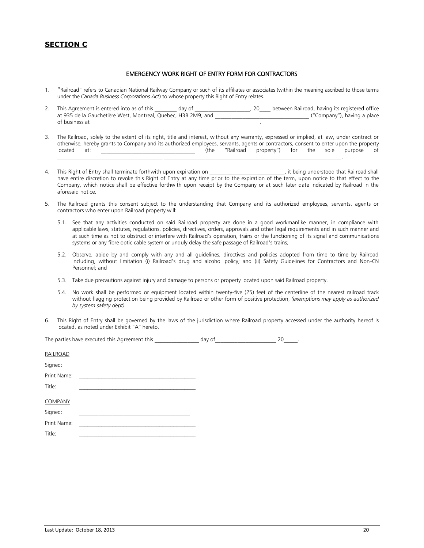### **SECTION C**

#### EMERGENCY WORK RIGHT OF ENTRY FORM FOR CONTRACTORS

- 1. "Railroad" refers to Canadian National Railway Company or such of its affiliates or associates (within the meaning ascribed to those terms under the *Canada Business Corporations Act*) to whose property this Right of Entry relates.
- 2. This Agreement is entered into as of this day of the state of the state of the state of the state of the state day of the state of the state of the state of the state of the state of the state of the state of the state at 935 de la Gauchetière West, Montreal, Quebec, H3B 2M9, and *\_\_\_\_\_\_\_\_\_\_\_\_\_\_\_\_\_\_\_\_\_\_\_\_\_\_\_\_\_\_\_\_\_\_* ("Company"), having a place of business at *\_\_\_\_\_\_\_\_\_\_\_\_\_\_\_\_\_\_\_\_\_\_\_\_\_\_\_\_\_\_\_\_\_\_\_\_\_\_\_\_\_\_\_\_\_\_\_\_\_\_\_\_\_\_\_\_\_\_\_\_\_.*
- 3. The Railroad, solely to the extent of its right, title and interest, without any warranty, expressed or implied, at law, under contract or otherwise, hereby grants to Company and its authorized employees, servants, agents or contractors, consent to enter upon the property located at: etc. the sole purpose of the "Railroad property") for the sole purpose of  $\mathcal{L}_\mathcal{L} = \mathcal{L}_\mathcal{L} = \mathcal{L}_\mathcal{L} = \mathcal{L}_\mathcal{L} = \mathcal{L}_\mathcal{L} = \mathcal{L}_\mathcal{L} = \mathcal{L}_\mathcal{L} = \mathcal{L}_\mathcal{L} = \mathcal{L}_\mathcal{L} = \mathcal{L}_\mathcal{L} = \mathcal{L}_\mathcal{L} = \mathcal{L}_\mathcal{L} = \mathcal{L}_\mathcal{L} = \mathcal{L}_\mathcal{L} = \mathcal{L}_\mathcal{L} = \mathcal{L}_\mathcal{L} = \mathcal{L}_\mathcal{L}$
- 4. This Right of Entry shall terminate forthwith upon expiration on \_\_\_\_\_\_\_\_\_\_\_\_\_\_\_\_\_\_\_\_\_\_\_\_\_\_\_\_, it being understood that Railroad shall have entire discretion to revoke this Right of Entry at any time prior to the expiration of the term, upon notice to that effect to the Company, which notice shall be effective forthwith upon receipt by the Company or at such later date indicated by Railroad in the aforesaid notice.
- 5. The Railroad grants this consent subject to the understanding that Company and its authorized employees, servants, agents or contractors who enter upon Railroad property will:
	- 5.1. See that any activities conducted on said Railroad property are done in a good workmanlike manner, in compliance with applicable laws, statutes, regulations, policies, directives, orders, approvals and other legal requirements and in such manner and at such time as not to obstruct or interfere with Railroad's operation, trains or the functioning of its signal and communications systems or any fibre optic cable system or unduly delay the safe passage of Railroad's trains;
	- 5.2. Observe, abide by and comply with any and all guidelines, directives and policies adopted from time to time by Railroad including, without limitation (i) Railroad's drug and alcohol policy; and (ii) Safety Guidelines for Contractors and Non-CN Personnel; and
	- 5.3. Take due precautions against injury and damage to persons or property located upon said Railroad property.
	- 5.4. No work shall be performed or equipment located within twenty-five (25) feet of the centerline of the nearest railroad track without flagging protection being provided by Railroad or other form of positive protection, *(exemptions may apply as authorized by system safety dept).*
- 6. This Right of Entry shall be governed by the laws of the jurisdiction where Railroad property accessed under the authority hereof is located, as noted under Exhibit "A" hereto.

|                | The parties have executed this Agreement this                | day of | 20 |
|----------------|--------------------------------------------------------------|--------|----|
| RAILROAD       |                                                              |        |    |
| Signed:        | <u> 1980 - Johann John Stein, fransk politiker (d. 1980)</u> |        |    |
| Print Name:    |                                                              |        |    |
| Title:         |                                                              |        |    |
| <b>COMPANY</b> |                                                              |        |    |
| Signed:        |                                                              |        |    |
| Print Name:    |                                                              |        |    |
| Title:         |                                                              |        |    |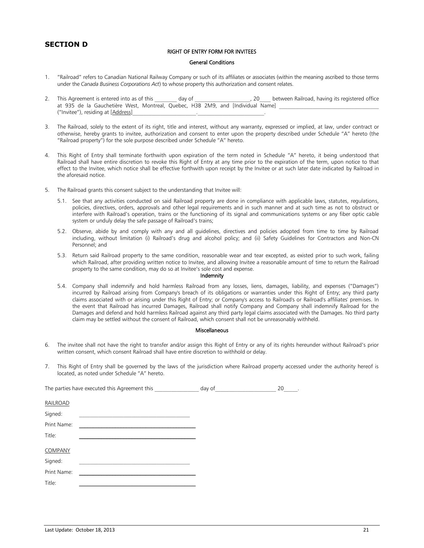### **SECTION D**

#### RIGHT OF ENTRY FORM FOR INVITEES

#### General Conditions

- 1. "Railroad" refers to Canadian National Railway Company or such of its affiliates or associates (within the meaning ascribed to those terms under the *Canada Business Corporations Act*) to whose property this authorization and consent relates.
- 2. This Agreement is entered into as of this \_\_\_\_\_\_\_\_\_\_ day of \_\_\_\_\_\_\_\_\_\_\_\_\_\_\_\_\_, 20\_\_\_\_ between Railroad, having its reqistered office at 935 de la Gauchetière West, Montreal, Quebec, H3B 2M9, and [Individual Name] ("Invitee"), residing at [Address]\_\_\_\_\_\_\_\_\_\_\_\_\_\_\_\_\_\_\_\_\_\_\_.\_\_\_\_\_\_\_\_\_\_\_\_\_\_\_\_\_\_\_\_\_\_\_\_.
- 3. The Railroad, solely to the extent of its right, title and interest, without any warranty, expressed or implied, at law, under contract or otherwise, hereby grants to invitee, authorization and consent to enter upon the property described under Schedule "A" hereto (the "Railroad property") for the sole purpose described under Schedule "A" hereto.
- 4. This Right of Entry shall terminate forthwith upon expiration of the term noted in Schedule "A" hereto, it being understood that Railroad shall have entire discretion to revoke this Right of Entry at any time prior to the expiration of the term, upon notice to that effect to the Invitee, which notice shall be effective forthwith upon receipt by the Invitee or at such later date indicated by Railroad in the aforesaid notice.
- 5. The Railroad grants this consent subject to the understanding that Invitee will:
	- 5.1. See that any activities conducted on said Railroad property are done in compliance with applicable laws, statutes, regulations, policies, directives, orders, approvals and other legal requirements and in such manner and at such time as not to obstruct or interfere with Railroad's operation, trains or the functioning of its signal and communications systems or any fiber optic cable system or unduly delay the safe passage of Railroad's trains;
	- 5.2. Observe, abide by and comply with any and all guidelines, directives and policies adopted from time to time by Railroad including, without limitation (i) Railroad's drug and alcohol policy; and (ii) Safety Guidelines for Contractors and Non-CN Personnel; and
	- 5.3. Return said Railroad property to the same condition, reasonable wear and tear excepted, as existed prior to such work, failing which Railroad, after providing written notice to Invitee, and allowing Invitee a reasonable amount of time to return the Railroad property to the same condition, may do so at Invitee's sole cost and expense.

#### Indemnity

5.4. Company shall indemnify and hold harmless Railroad from any losses, liens, damages, liability, and expenses ("Damages") incurred by Railroad arising from Company's breach of its obligations or warranties under this Right of Entry; any third party claims associated with or arising under this Right of Entry; or Company's access to Railroad's or Railroad's affiliates' premises. In the event that Railroad has incurred Damages, Railroad shall notify Company and Company shall indemnify Railroad for the Damages and defend and hold harmless Railroad against any third party legal claims associated with the Damages. No third party claim may be settled without the consent of Railroad, which consent shall not be unreasonably withheld.

#### Miscellaneous

- 6. The invitee shall not have the right to transfer and/or assign this Right of Entry or any of its rights hereunder without Railroad's prior written consent, which consent Railroad shall have entire discretion to withhold or delay.
- 7. This Right of Entry shall be governed by the laws of the jurisdiction where Railroad property accessed under the authority hereof is located, as noted under Schedule "A" hereto.

| The parties have executed this Agreement this _____________ | day of | 20 |
|-------------------------------------------------------------|--------|----|
| RAILROAD                                                    |        |    |
| Signed:                                                     |        |    |
| Print Name:                                                 |        |    |
| Title:                                                      |        |    |
| COMPANY                                                     |        |    |
| Signed:                                                     |        |    |
| Print Name:                                                 |        |    |
| Title:                                                      |        |    |
|                                                             |        |    |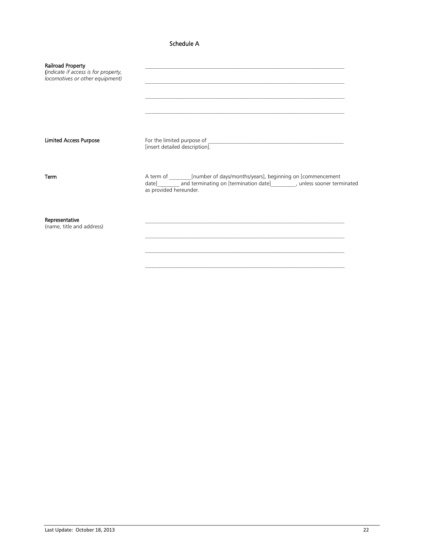### Schedule A

| Railroad Property<br>(indicate if access is for property,<br>locomotives or other equipment) |                                                                                                                                                                                                    |
|----------------------------------------------------------------------------------------------|----------------------------------------------------------------------------------------------------------------------------------------------------------------------------------------------------|
| <b>Limited Access Purpose</b>                                                                | For the limited purpose of _____________<br>[insert detailed description].                                                                                                                         |
| Term                                                                                         | A term of _________[number of days/months/years], beginning on [commencement<br>date]_________ and terminating on [termination date]__________, unless sooner terminated<br>as provided hereunder. |
| Representative<br>(name, title and address)                                                  |                                                                                                                                                                                                    |